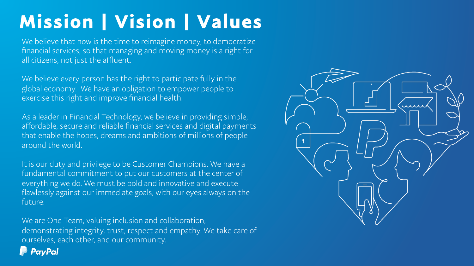# Mission | Vision | Values

We believe that now is the time to reimagine money, to democratize financial services, so that managing and moving money is a right for all citizens, not just the affluent.

We believe every person has the right to participate fully in the global economy. We have an obligation to empower people to exercise this right and improve financial health.

As a leader in Financial Technology, we believe in providing simple, affordable, secure and reliable financial services and digital payments that enable the hopes, dreams and ambitions of millions of people around the world.

It is our duty and privilege to be Customer Champions. We have a fundamental commitment to put our customers at the center of everything we do. We must be bold and innovative and execute flawlessly against our immediate goals, with our eyes always on the future.

We are One Team, valuing inclusion and collaboration, demonstrating integrity, trust, respect and empathy. We take care of ourselves, each other, and our community.

**PayPal** 

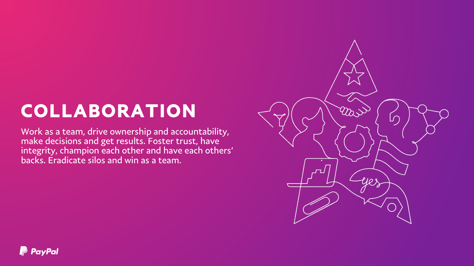# COLLABORATION

Work as a team, drive ownership and accountability, make decisions and get results. Foster trust, have integrity, champion each other and have each others' backs. Eradicate silos and win as a team.

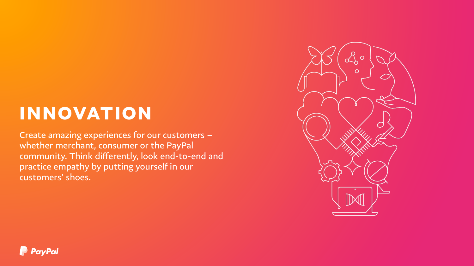### **INNOVATION**

Create amazing experiences for our customers – whether merchant, consumer or the PayPal community. Think diferently, look end-to-end and practice empathy by putting yourself in our customers' shoes.



#### **P** PayPal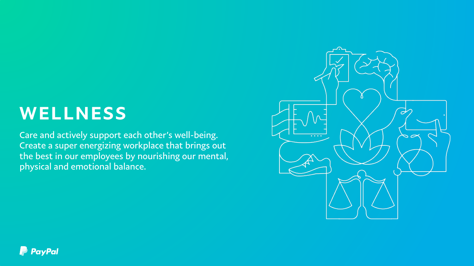### WELLNESS

Care and actively support each other's well-being. Create a super energizing workplace that brings out the best in our employees by nourishing our mental, physical and emotional balance.



#### **P** PayPal